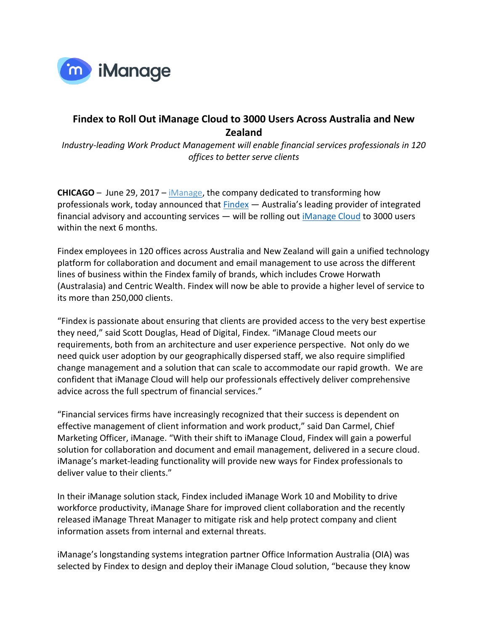

## **Findex to Roll Out iManage Cloud to 3000 Users Across Australia and New Zealand**

*Industry-leading Work Product Management will enable financial services professionals in 120 offices to better serve clients*

**CHICAGO** – June 29, 2017 – *iManage*, the company dedicated to transforming how professionals work, today announced that **Findex** - Australia's leading provider of integrated financial advisory and accounting services — will be rolling out *iManage Cloud* to 3000 users within the next 6 months.

Findex employees in 120 offices across Australia and New Zealand will gain a unified technology platform for collaboration and document and email management to use across the different lines of business within the Findex family of brands, which includes Crowe Horwath (Australasia) and Centric Wealth. Findex will now be able to provide a higher level of service to its more than 250,000 clients.

"Findex is passionate about ensuring that clients are provided access to the very best expertise they need," said Scott Douglas, Head of Digital, Findex. "iManage Cloud meets our requirements, both from an architecture and user experience perspective. Not only do we need quick user adoption by our geographically dispersed staff, we also require simplified change management and a solution that can scale to accommodate our rapid growth. We are confident that iManage Cloud will help our professionals effectively deliver comprehensive advice across the full spectrum of financial services."

"Financial services firms have increasingly recognized that their success is dependent on effective management of client information and work product," said Dan Carmel, Chief Marketing Officer, iManage. "With their shift to iManage Cloud, Findex will gain a powerful solution for collaboration and document and email management, delivered in a secure cloud. iManage's market-leading functionality will provide new ways for Findex professionals to deliver value to their clients."

In their iManage solution stack, Findex included iManage Work 10 and Mobility to drive workforce productivity, iManage Share for improved client collaboration and the recently released iManage Threat Manager to mitigate risk and help protect company and client information assets from internal and external threats.

iManage's longstanding systems integration partner Office Information Australia (OIA) was selected by Findex to design and deploy their iManage Cloud solution, "because they know